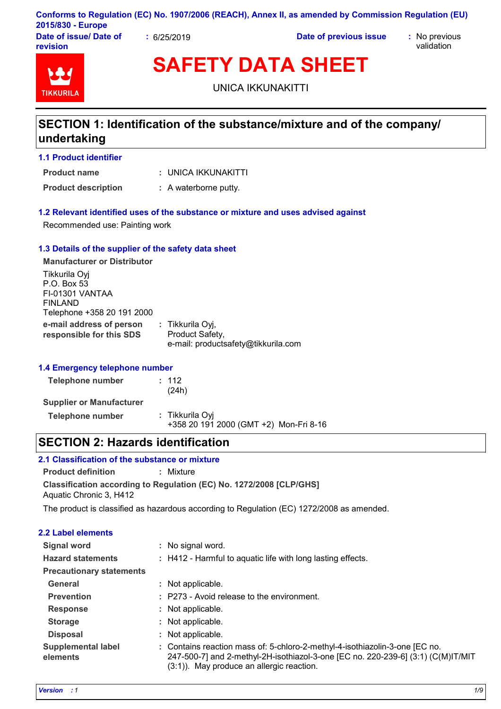|                        |                         | Conforms to Regulation (EC) No. 1907/2006 (REACH), Annex II, as amended by Commission Regulation (EU) |               |
|------------------------|-------------------------|-------------------------------------------------------------------------------------------------------|---------------|
| 2015/830 - Europe      |                         |                                                                                                       |               |
| Date of issue/ Date of | $\frac{1}{2}$ 6/25/2019 | Date of previous issue                                                                                | : No previous |

**revision**

validation



**SAFETY DATA SHEET**

UNICA IKKUNAKITTI

# **SECTION 1: Identification of the substance/mixture and of the company/ undertaking**

**1.1 Product identifier**

UNICA IKKUNAKITTI **: Product name**

**Product description :** A waterborne putty.

### **1.2 Relevant identified uses of the substance or mixture and uses advised against**

Recommended use: Painting work

## **1.3 Details of the supplier of the safety data sheet**

**e-mail address of person responsible for this SDS :** Tikkurila Oyj, Product Safety, e-mail: productsafety@tikkurila.com **Manufacturer or Distributor** Tikkurila Oyj P.O. Box 53 FI-01301 VANTAA FINLAND Telephone +358 20 191 2000

### **1.4 Emergency telephone number**

| Telephone number                | : 112<br>(24h)                                            |  |
|---------------------------------|-----------------------------------------------------------|--|
| <b>Supplier or Manufacturer</b> |                                                           |  |
| Telephone number                | : Tikkurila Oyi<br>+358 20 191 2000 (GMT +2) Mon-Fri 8-16 |  |

# **SECTION 2: Hazards identification**

# **2.1 Classification of the substance or mixture**

**Classification according to Regulation (EC) No. 1272/2008 [CLP/GHS] Product definition :** Mixture Aquatic Chronic 3, H412

The product is classified as hazardous according to Regulation (EC) 1272/2008 as amended.

| <b>2.2 Label elements</b>             |                                                                                                                                                                                                                 |
|---------------------------------------|-----------------------------------------------------------------------------------------------------------------------------------------------------------------------------------------------------------------|
| <b>Signal word</b>                    | : No signal word.                                                                                                                                                                                               |
| <b>Hazard statements</b>              | : H412 - Harmful to aquatic life with long lasting effects.                                                                                                                                                     |
| <b>Precautionary statements</b>       |                                                                                                                                                                                                                 |
| General                               | : Not applicable.                                                                                                                                                                                               |
| <b>Prevention</b>                     | : P273 - Avoid release to the environment.                                                                                                                                                                      |
| <b>Response</b>                       | : Not applicable.                                                                                                                                                                                               |
| <b>Storage</b>                        | : Not applicable.                                                                                                                                                                                               |
| <b>Disposal</b>                       | : Not applicable.                                                                                                                                                                                               |
| <b>Supplemental label</b><br>elements | : Contains reaction mass of: 5-chloro-2-methyl-4-isothiazolin-3-one [EC no.<br>247-500-7] and 2-methyl-2H-isothiazol-3-one [EC no. 220-239-6] (3:1) (C(M)IT/MIT<br>$(3:1)$ ). May produce an allergic reaction. |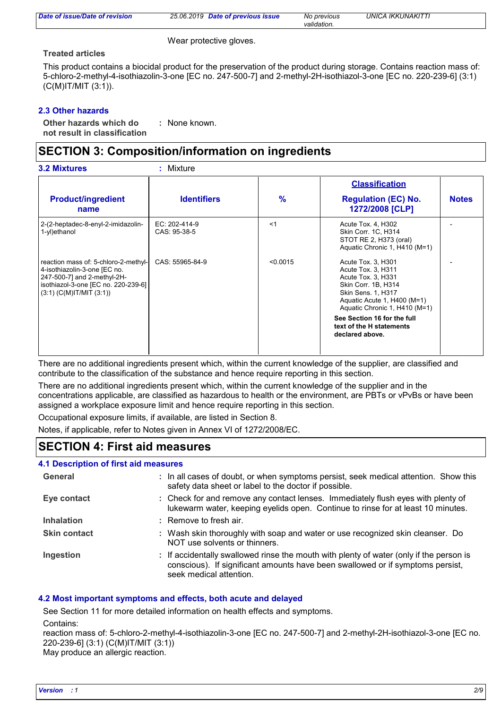| Date of issue/Date of revision | 25.06.2019 Date of previous issue | No previous<br>validation. | <b>UNICA IKKUNAKITTI</b> |
|--------------------------------|-----------------------------------|----------------------------|--------------------------|
|                                |                                   |                            |                          |

Wear protective gloves.

#### **Treated articles**

This product contains a biocidal product for the preservation of the product during storage. Contains reaction mass of: 5-chloro-2-methyl-4-isothiazolin-3-one [EC no. 247-500-7] and 2-methyl-2H-isothiazol-3-one [EC no. 220-239-6] (3:1) (C(M)IT/MIT (3:1)).

### **2.3 Other hazards**

**Other hazards which do : not result in classification** : None known.

# **SECTION 3: Composition/information on ingredients**

|                                                                                                                                                                             |                               |          | <b>Classification</b>                                                                                                                                                              |              |
|-----------------------------------------------------------------------------------------------------------------------------------------------------------------------------|-------------------------------|----------|------------------------------------------------------------------------------------------------------------------------------------------------------------------------------------|--------------|
| <b>Product/ingredient</b><br>name                                                                                                                                           | <b>Identifiers</b>            | $\%$     | <b>Regulation (EC) No.</b><br>1272/2008 [CLP]                                                                                                                                      | <b>Notes</b> |
| 2-(2-heptadec-8-enyl-2-imidazolin-<br>1-yl)ethanol                                                                                                                          | EC: 202-414-9<br>CAS: 95-38-5 | < 1      | Acute Tox. 4, H302<br>Skin Corr. 1C, H314<br>STOT RE 2, H373 (oral)<br>Aquatic Chronic 1, H410 (M=1)                                                                               |              |
| reaction mass of: 5-chloro-2-methyl-<br>4-isothiazolin-3-one [EC no.<br>247-500-7] and 2-methyl-2H-<br>isothiazol-3-one [EC no. 220-239-6]<br>$(3:1)$ (C(M)IT/MIT $(3:1)$ ) | CAS: 55965-84-9               | < 0.0015 | Acute Tox. 3, H301<br>Acute Tox. 3, H311<br>Acute Tox. 3, H331<br>Skin Corr. 1B, H314<br><b>Skin Sens. 1, H317</b><br>Aquatic Acute 1, H400 (M=1)<br>Aquatic Chronic 1, H410 (M=1) |              |
|                                                                                                                                                                             |                               |          | See Section 16 for the full<br>text of the H statements<br>declared above.                                                                                                         |              |

There are no additional ingredients present which, within the current knowledge of the supplier, are classified and contribute to the classification of the substance and hence require reporting in this section.

There are no additional ingredients present which, within the current knowledge of the supplier and in the concentrations applicable, are classified as hazardous to health or the environment, are PBTs or vPvBs or have been assigned a workplace exposure limit and hence require reporting in this section.

Occupational exposure limits, if available, are listed in Section 8.

Notes, if applicable, refer to Notes given in Annex VI of 1272/2008/EC.

# **SECTION 4: First aid measures**

#### **4.1 Description of first aid measures**

| General             | : In all cases of doubt, or when symptoms persist, seek medical attention. Show this<br>safety data sheet or label to the doctor if possible.                                                        |
|---------------------|------------------------------------------------------------------------------------------------------------------------------------------------------------------------------------------------------|
| Eye contact         | : Check for and remove any contact lenses. Immediately flush eyes with plenty of<br>lukewarm water, keeping eyelids open. Continue to rinse for at least 10 minutes.                                 |
| <b>Inhalation</b>   | : Remove to fresh air.                                                                                                                                                                               |
| <b>Skin contact</b> | : Wash skin thoroughly with soap and water or use recognized skin cleanser. Do<br>NOT use solvents or thinners.                                                                                      |
| Ingestion           | : If accidentally swallowed rinse the mouth with plenty of water (only if the person is<br>conscious). If significant amounts have been swallowed or if symptoms persist,<br>seek medical attention. |

### **4.2 Most important symptoms and effects, both acute and delayed**

See Section 11 for more detailed information on health effects and symptoms. Contains:

reaction mass of: 5-chloro-2-methyl-4-isothiazolin-3-one [EC no. 247-500-7] and 2-methyl-2H-isothiazol-3-one [EC no. 220-239-6] (3:1) (C(M)IT/MIT (3:1))

May produce an allergic reaction.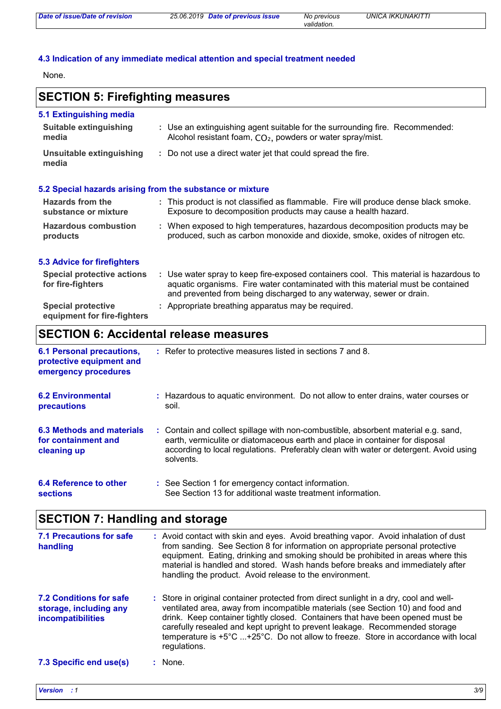# **4.3 Indication of any immediate medical attention and special treatment needed**

**Special protective : Appropriate breathing apparatus may be required.** 

None.

# **SECTION 5: Firefighting measures**

| 5.1 Extinguishing media                                   |                                                                                                                                                                                                                                                  |
|-----------------------------------------------------------|--------------------------------------------------------------------------------------------------------------------------------------------------------------------------------------------------------------------------------------------------|
| Suitable extinguishing<br>media                           | : Use an extinguishing agent suitable for the surrounding fire. Recommended:<br>Alcohol resistant foam, CO <sub>2</sub> , powders or water spray/mist.                                                                                           |
| Unsuitable extinguishing<br>media                         | : Do not use a direct water jet that could spread the fire.                                                                                                                                                                                      |
| 5.2 Special hazards arising from the substance or mixture |                                                                                                                                                                                                                                                  |
| <b>Hazards from the</b><br>substance or mixture           | : This product is not classified as flammable. Fire will produce dense black smoke.<br>Exposure to decomposition products may cause a health hazard.                                                                                             |
| <b>Hazardous combustion</b><br>products                   | : When exposed to high temperatures, hazardous decomposition products may be<br>produced, such as carbon monoxide and dioxide, smoke, oxides of nitrogen etc.                                                                                    |
| <b>5.3 Advice for firefighters</b>                        |                                                                                                                                                                                                                                                  |
| <b>Special protective actions</b><br>for fire-fighters    | : Use water spray to keep fire-exposed containers cool. This material is hazardous to<br>aquatic organisms. Fire water contaminated with this material must be contained<br>and prevented from being discharged to any waterway, sewer or drain. |

# **SECTION 6: Accidental release measures**

**equipment for fire-fighters**

| <b>6.1 Personal precautions,</b><br>protective equipment and<br>emergency procedures | : Refer to protective measures listed in sections 7 and 8.                                                                                                                                                                                                               |
|--------------------------------------------------------------------------------------|--------------------------------------------------------------------------------------------------------------------------------------------------------------------------------------------------------------------------------------------------------------------------|
| <b>6.2 Environmental</b><br>precautions                                              | : Hazardous to aguatic environment. Do not allow to enter drains, water courses or<br>soil.                                                                                                                                                                              |
| 6.3 Methods and materials<br>for containment and<br>cleaning up                      | : Contain and collect spillage with non-combustible, absorbent material e.g. sand,<br>earth, vermiculite or diatomaceous earth and place in container for disposal<br>according to local regulations. Preferably clean with water or detergent. Avoid using<br>solvents. |
| 6.4 Reference to other<br><b>sections</b>                                            | : See Section 1 for emergency contact information.<br>See Section 13 for additional waste treatment information.                                                                                                                                                         |

# **SECTION 7: Handling and storage**

| 7.1 Precautions for safe<br>handling                                          | : Avoid contact with skin and eyes. Avoid breathing vapor. Avoid inhalation of dust<br>from sanding. See Section 8 for information on appropriate personal protective<br>equipment. Eating, drinking and smoking should be prohibited in areas where this<br>material is handled and stored. Wash hands before breaks and immediately after<br>handling the product. Avoid release to the environment.                                         |
|-------------------------------------------------------------------------------|------------------------------------------------------------------------------------------------------------------------------------------------------------------------------------------------------------------------------------------------------------------------------------------------------------------------------------------------------------------------------------------------------------------------------------------------|
| <b>7.2 Conditions for safe</b><br>storage, including any<br>incompatibilities | : Store in original container protected from direct sunlight in a dry, cool and well-<br>ventilated area, away from incompatible materials (see Section 10) and food and<br>drink. Keep container tightly closed. Containers that have been opened must be<br>carefully resealed and kept upright to prevent leakage. Recommended storage<br>temperature is +5°C +25°C. Do not allow to freeze. Store in accordance with local<br>regulations. |
| 7.3 Specific end use(s)                                                       | : None.                                                                                                                                                                                                                                                                                                                                                                                                                                        |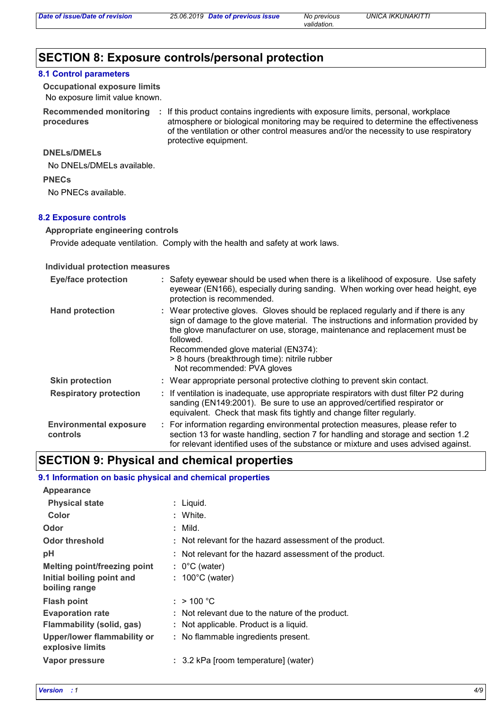# **SECTION 8: Exposure controls/personal protection**

#### **8.1 Control parameters**

No exposure limit value known. **Occupational exposure limits**

**procedures**

Recommended monitoring : If this product contains ingredients with exposure limits, personal, workplace atmosphere or biological monitoring may be required to determine the effectiveness of the ventilation or other control measures and/or the necessity to use respiratory protective equipment.

## **DNELs/DMELs**

No DNELs/DMELs available.

**PNECs**

No PNECs available.

#### **8.2 Exposure controls**

**Appropriate engineering controls**

Provide adequate ventilation. Comply with the health and safety at work laws.

#### **Individual protection measures**

| <b>Eye/face protection</b>                | : Safety eyewear should be used when there is a likelihood of exposure. Use safety<br>eyewear (EN166), especially during sanding. When working over head height, eye<br>protection is recommended.                                                                                                                                                                                         |
|-------------------------------------------|--------------------------------------------------------------------------------------------------------------------------------------------------------------------------------------------------------------------------------------------------------------------------------------------------------------------------------------------------------------------------------------------|
| <b>Hand protection</b>                    | : Wear protective gloves. Gloves should be replaced regularly and if there is any<br>sign of damage to the glove material. The instructions and information provided by<br>the glove manufacturer on use, storage, maintenance and replacement must be<br>followed.<br>Recommended glove material (EN374):<br>> 8 hours (breakthrough time): nitrile rubber<br>Not recommended: PVA gloves |
| <b>Skin protection</b>                    | : Wear appropriate personal protective clothing to prevent skin contact.                                                                                                                                                                                                                                                                                                                   |
| <b>Respiratory protection</b>             | : If ventilation is inadequate, use appropriate respirators with dust filter P2 during<br>sanding (EN149:2001). Be sure to use an approved/certified respirator or<br>equivalent. Check that mask fits tightly and change filter regularly.                                                                                                                                                |
| <b>Environmental exposure</b><br>controls | : For information regarding environmental protection measures, please refer to<br>section 13 for waste handling, section 7 for handling and storage and section 1.2<br>for relevant identified uses of the substance or mixture and uses advised against.                                                                                                                                  |

# **SECTION 9: Physical and chemical properties**

#### **9.1 Information on basic physical and chemical properties**

| <b>Appearance</b>                               |                                                          |
|-------------------------------------------------|----------------------------------------------------------|
| <b>Physical state</b>                           | : Liquid.                                                |
| Color                                           | : White.                                                 |
| Odor                                            | : Mild.                                                  |
| <b>Odor threshold</b>                           | : Not relevant for the hazard assessment of the product. |
| рH                                              | : Not relevant for the hazard assessment of the product. |
| <b>Melting point/freezing point</b>             | $: 0^{\circ}$ C (water)                                  |
| Initial boiling point and<br>boiling range      | $: 100^{\circ}$ C (water)                                |
| <b>Flash point</b>                              | : $> 100 °C$                                             |
| <b>Evaporation rate</b>                         | : Not relevant due to the nature of the product.         |
| Flammability (solid, gas)                       | : Not applicable. Product is a liquid.                   |
| Upper/lower flammability or<br>explosive limits | : No flammable ingredients present.                      |
| Vapor pressure                                  | : 3.2 kPa [room temperature] (water)                     |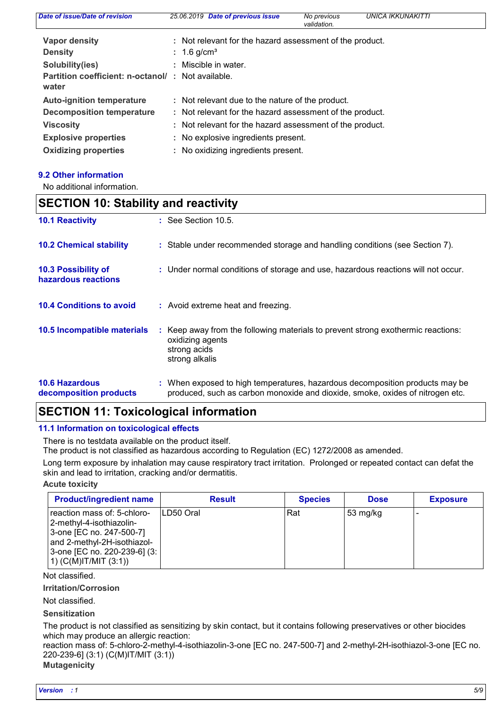| Date of issue/Date of revision                             | 25.06.2019 Date of previous issue                        | No previous<br>validation. | UNICA IKKUNAKITTI |
|------------------------------------------------------------|----------------------------------------------------------|----------------------------|-------------------|
| Vapor density                                              | : Not relevant for the hazard assessment of the product. |                            |                   |
| <b>Density</b>                                             | : 1.6 g/cm <sup>3</sup>                                  |                            |                   |
| Solubility(ies)                                            | : Miscible in water.                                     |                            |                   |
| Partition coefficient: n-octanol/: Not available.<br>water |                                                          |                            |                   |
| <b>Auto-ignition temperature</b>                           | : Not relevant due to the nature of the product.         |                            |                   |
| <b>Decomposition temperature</b>                           | : Not relevant for the hazard assessment of the product. |                            |                   |
| <b>Viscosity</b>                                           | : Not relevant for the hazard assessment of the product. |                            |                   |
| <b>Explosive properties</b>                                | : No explosive ingredients present.                      |                            |                   |
| <b>Oxidizing properties</b>                                | : No oxidizing ingredients present.                      |                            |                   |

### **9.2 Other information**

No additional information.

| <b>SECTION 10: Stability and reactivity</b>     |                                                                                                                                                               |  |  |
|-------------------------------------------------|---------------------------------------------------------------------------------------------------------------------------------------------------------------|--|--|
| <b>10.1 Reactivity</b>                          | $\therefore$ See Section 10.5.                                                                                                                                |  |  |
| <b>10.2 Chemical stability</b>                  | : Stable under recommended storage and handling conditions (see Section 7).                                                                                   |  |  |
| 10.3 Possibility of<br>hazardous reactions      | : Under normal conditions of storage and use, hazardous reactions will not occur.                                                                             |  |  |
| <b>10.4 Conditions to avoid</b>                 | : Avoid extreme heat and freezing.                                                                                                                            |  |  |
| 10.5 Incompatible materials                     | : Keep away from the following materials to prevent strong exothermic reactions:<br>oxidizing agents<br>strong acids<br>strong alkalis                        |  |  |
| <b>10.6 Hazardous</b><br>decomposition products | : When exposed to high temperatures, hazardous decomposition products may be<br>produced, such as carbon monoxide and dioxide, smoke, oxides of nitrogen etc. |  |  |

# **SECTION 11: Toxicological information**

### **11.1 Information on toxicological effects**

There is no testdata available on the product itself.

The product is not classified as hazardous according to Regulation (EC) 1272/2008 as amended.

Long term exposure by inhalation may cause respiratory tract irritation. Prolonged or repeated contact can defat the skin and lead to irritation, cracking and/or dermatitis.

### **Acute toxicity**

| <b>Product/ingredient name</b>                                                                                                                                                  | <b>Result</b> | <b>Species</b> | <b>Dose</b>        | <b>Exposure</b> |
|---------------------------------------------------------------------------------------------------------------------------------------------------------------------------------|---------------|----------------|--------------------|-----------------|
| reaction mass of: 5-chloro-<br> 2-methyl-4-isothiazolin-<br>3-one [EC no. 247-500-7]<br>and 2-methyl-2H-isothiazol-<br>3-one [EC no. 220-239-6] (3:<br>$(1)$ (C(M)IT/MIT (3:1)) | ILD50 Oral    | Rat            | $53 \text{ mg/kg}$ |                 |

Not classified.

**Irritation/Corrosion**

Not classified.

**Sensitization**

The product is not classified as sensitizing by skin contact, but it contains following preservatives or other biocides which may produce an allergic reaction:

reaction mass of: 5-chloro-2-methyl-4-isothiazolin-3-one [EC no. 247-500-7] and 2-methyl-2H-isothiazol-3-one [EC no. 220-239-6] (3:1) (C(M)IT/MIT (3:1))

# **Mutagenicity**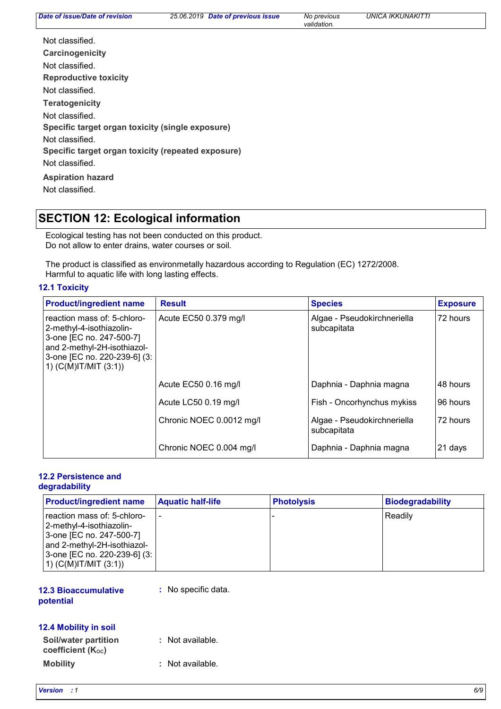*Date of previous issue No previous UNICA IKKUNAKITTI*

*validation.*

| Not classified.                                    |
|----------------------------------------------------|
| Carcinogenicity                                    |
| Not classified.                                    |
| Reproductive toxicity                              |
| Not classified.                                    |
| <b>Teratogenicity</b>                              |
| Not classified.                                    |
| Specific target organ toxicity (single exposure)   |
| Not classified.                                    |
| Specific target organ toxicity (repeated exposure) |
| Not classified.                                    |
| <b>Aspiration hazard</b>                           |
| Not classified.                                    |

# **SECTION 12: Ecological information**

Ecological testing has not been conducted on this product. Do not allow to enter drains, water courses or soil.

The product is classified as environmetally hazardous according to Regulation (EC) 1272/2008. Harmful to aquatic life with long lasting effects.

## **12.1 Toxicity**

| <b>Product/ingredient name</b>                                                                                                                                                  | <b>Result</b>            | <b>Species</b>                             | <b>Exposure</b> |
|---------------------------------------------------------------------------------------------------------------------------------------------------------------------------------|--------------------------|--------------------------------------------|-----------------|
| reaction mass of: 5-chloro-<br> 2-methyl-4-isothiazolin-<br>3-one [EC no. 247-500-7]<br>and 2-methyl-2H-isothiazol-<br>3-one [EC no. 220-239-6] (3:<br>$(1)$ (C(M)IT/MIT (3:1)) | Acute EC50 0.379 mg/l    | Algae - Pseudokirchneriella<br>subcapitata | 72 hours        |
|                                                                                                                                                                                 | Acute EC50 0.16 mg/l     | Daphnia - Daphnia magna                    | 48 hours        |
|                                                                                                                                                                                 | Acute LC50 0.19 mg/l     | Fish - Oncorhynchus mykiss                 | 96 hours        |
|                                                                                                                                                                                 | Chronic NOEC 0.0012 mg/l | Algae - Pseudokirchneriella<br>subcapitata | 72 hours        |
|                                                                                                                                                                                 | Chronic NOEC 0.004 mg/l  | Daphnia - Daphnia magna                    | 21 days         |

#### **12.2 Persistence and degradability**

| <b>Product/ingredient name</b>                              | <b>Aquatic half-life</b> | <b>Photolysis</b> | Biodegradability |
|-------------------------------------------------------------|--------------------------|-------------------|------------------|
| reaction mass of: 5-chloro-                                 | $\overline{\phantom{0}}$ |                   | Readily          |
| 2-methyl-4-isothiazolin-<br>3-one [EC no. 247-500-7]        |                          |                   |                  |
| and 2-methyl-2H-isothiazol-<br>3-one [EC no. 220-239-6] (3: |                          |                   |                  |
| 1) $(C(M)IT/MIT (3:1))$                                     |                          |                   |                  |

### **12.3 Bioaccumulative potential**

**:** No specific data.

# **12.4 Mobility in soil**

**Mobility :** Not available. **Soil/water partition coefficient (KOC) :** Not available.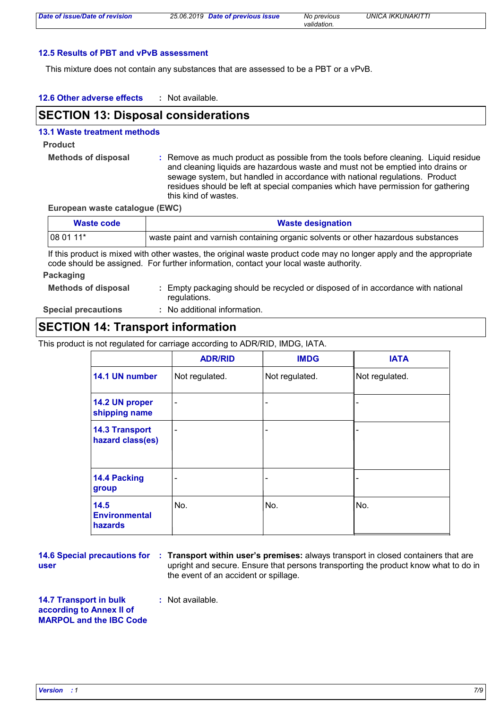### **12.5 Results of PBT and vPvB assessment**

This mixture does not contain any substances that are assessed to be a PBT or a vPvB.

#### **12.6 Other adverse effects :**

# **SECTION 13: Disposal considerations**

### **13.1 Waste treatment methods**

# **Product**

**Methods of disposal :** Remove as much product as possible from the tools before cleaning. Liquid residue and cleaning liquids are hazardous waste and must not be emptied into drains or sewage system, but handled in accordance with national regulations. Product residues should be left at special companies which have permission for gathering this kind of wastes.

**European waste catalogue (EWC)**

| Waste code | <b>Waste designation</b>                                                          |  |  |
|------------|-----------------------------------------------------------------------------------|--|--|
| 08 01 11*  | waste paint and varnish containing organic solvents or other hazardous substances |  |  |

If this product is mixed with other wastes, the original waste product code may no longer apply and the appropriate code should be assigned. For further information, contact your local waste authority.

#### **Packaging**

| <b>Methods of disposal</b> | : Empty packaging should be recycled or disposed of in accordance with national |
|----------------------------|---------------------------------------------------------------------------------|
|                            | regulations.                                                                    |

**Special precautions :**

No additional information.

# **SECTION 14: Transport information**

This product is not regulated for carriage according to ADR/RID, IMDG, IATA.

|                                           | <b>ADR/RID</b>           | <b>IMDG</b>              | <b>IATA</b>    |
|-------------------------------------------|--------------------------|--------------------------|----------------|
| 14.1 UN number                            | Not regulated.           | Not regulated.           | Not regulated. |
| 14.2 UN proper<br>shipping name           | $\overline{\phantom{0}}$ | $\overline{\phantom{0}}$ |                |
| <b>14.3 Transport</b><br>hazard class(es) | $\blacksquare$           | $\overline{\phantom{0}}$ |                |
| 14.4 Packing<br>group                     |                          | -                        |                |
| 14.5<br><b>Environmental</b><br>hazards   | No.                      | No.                      | No.            |

**user**

**14.6 Special precautions for : Transport within user's premises: always transport in closed containers that are** upright and secure. Ensure that persons transporting the product know what to do in the event of an accident or spillage.

**14.7 Transport in bulk :** Not available.

**according to Annex II of MARPOL and the IBC Code**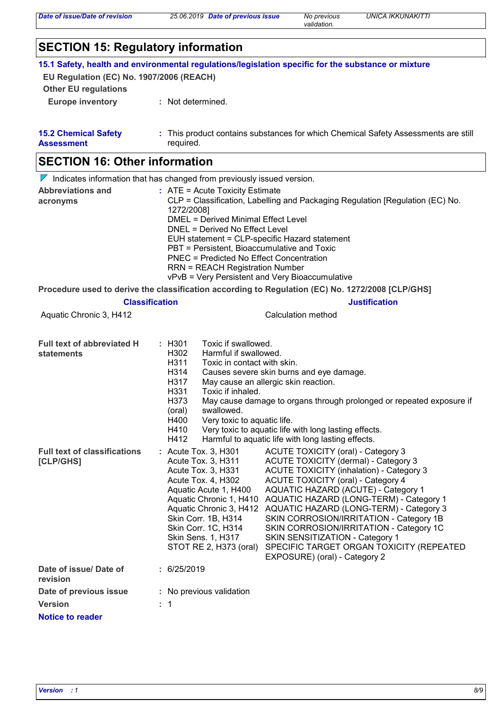#### **Other EU regulations Europe inventory :** Not determined. **SECTION 15: Regulatory information 15.1 Safety, health and environmental regulations/legislation specific for the substance or mixture EU Regulation (EC) No. 1907/2006 (REACH) 15.2 Chemical Safety Assessment** This product contains substances for which Chemical Safety Assessments are still **:** required. **Date of issue/ Date of revision Version Notice to reader Date of previous issue : :** 6/25/2019 **:** No previous validation  $\nabla$  Indicates information that has changed from previously issued version. 1 **SECTION 16: Other information Full text of abbreviated H statements : Abbreviations and acronyms :** ATE = Acute Toxicity Estimate CLP = Classification, Labelling and Packaging Regulation [Regulation (EC) No. 1272/2008] DMEL = Derived Minimal Effect Level DNEL = Derived No Effect Level EUH statement = CLP-specific Hazard statement PBT = Persistent, Bioaccumulative and Toxic PNEC = Predicted No Effect Concentration RRN = REACH Registration Number vPvB = Very Persistent and Very Bioaccumulative **Procedure used to derive the classification according to Regulation (EC) No. 1272/2008 [CLP/GHS] Classification Justification** Aquatic Chronic 3, H412 Calculation method **Full text of classifications [CLP/GHS] :** Toxic if swallowed. H302 Harmful if swallowed. H311 Toxic in contact with skin. H314 Causes severe skin burns and eye damage. H317 May cause an allergic skin reaction. H331 Toxic if inhaled. H373 (oral) May cause damage to organs through prolonged or repeated exposure if swallowed. H400 Very toxic to aquatic life. H410 Very toxic to aquatic life with long lasting effects.<br>H412 Harmful to aquatic life with long lasting effects. Harmful to aquatic life with long lasting effects. ACUTE TOXICITY (oral) - Category 3 Acute Tox. 3, H311 ACUTE TOXICITY (dermal) - Category 3 Acute Tox. 3, H331 ACUTE TOXICITY (inhalation) - Category 3 Acute Tox. 4, H302 ACUTE TOXICITY (oral) - Category 4 Aquatic Acute 1, H400 AQUATIC HAZARD (ACUTE) - Category 1 Aquatic Chronic 1, H410 AQUATIC HAZARD (LONG-TERM) - Category 1 Aquatic Chronic 3, H412 AQUATIC HAZARD (LONG-TERM) - Category 3 Skin Corr. 1B, H314 SKIN CORROSION/IRRITATION - Category 1B Skin Corr. 1C, H314 SKIN CORROSION/IRRITATION - Category 1C Skin Sens. 1, H317 SKIN SENSITIZATION - Category 1 STOT RE 2, H373 (oral) SPECIFIC TARGET ORGAN TOXICITY (REPEATED EXPOSURE) (oral) - Category 2